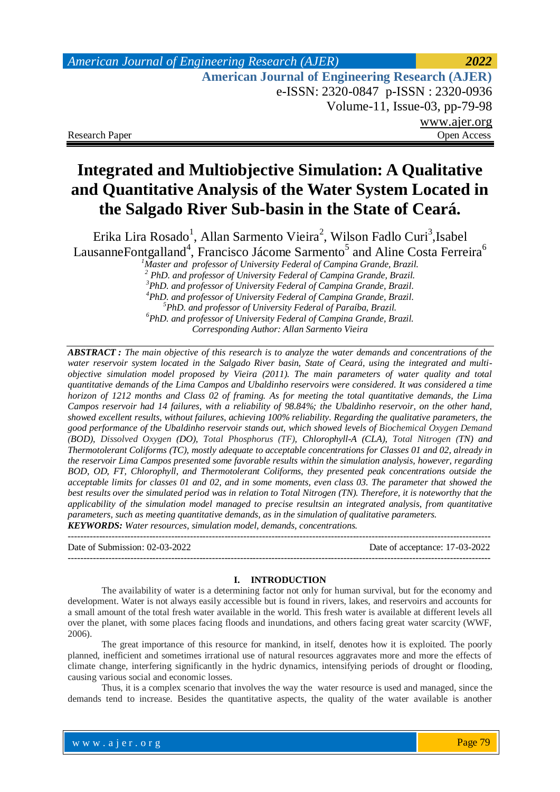# *American Journal of Engineering Research (AJER) 2022*  **American Journal of Engineering Research (AJER)** e-ISSN: 2320-0847 p-ISSN : 2320-0936 Volume-11, Issue-03, pp-79-98 www.ajer.org Research Paper **Open Access** Open Access **Open Access**

# **Integrated and Multiobjective Simulation: A Qualitative and Quantitative Analysis of the Water System Located in the Salgado River Sub-basin in the State of Ceará.**

Erika Lira Rosado<sup>1</sup>, Allan Sarmento Vieira<sup>2</sup>, Wilson Fadlo Curi<sup>3</sup>,Isabel LausanneFontgalland<sup>4</sup>, Francisco Jácome Sarmento<sup>5</sup> and Aline Costa Ferreira<sup>6</sup>

*Master and professor of University Federal of Campina Grande, Brazil. PhD. and professor of University Federal of Campina Grande, Brazil. PhD. and professor of University Federal of Campina Grande, Brazil. PhD. and professor of University Federal of Campina Grande, Brazil. PhD. and professor of University Federal of Paraíba, Brazil. PhD. and professor of University Federal of Campina Grande, Brazil. Corresponding Author: Allan Sarmento Vieira*

*ABSTRACT : The main objective of this research is to analyze the water demands and concentrations of the water reservoir system located in the Salgado River basin, State of Ceará, using the integrated and multiobjective simulation model proposed by Vieira (2011). The main parameters of water quality and total quantitative demands of the Lima Campos and Ubaldinho reservoirs were considered. It was considered a time horizon of 1212 months and Class 02 of framing. As for meeting the total quantitative demands, the Lima Campos reservoir had 14 failures, with a reliability of 98.84%; the Ubaldinho reservoir, on the other hand, showed excellent results, without failures, achieving 100% reliability. Regarding the qualitative parameters, the good performance of the Ubaldinho reservoir stands out, which showed levels of Biochemical Oxygen Demand (BOD), Dissolved Oxygen (DO), Total Phosphorus (TF), Chlorophyll-A (CLA), Total Nitrogen (TN) and Thermotolerant Coliforms (TC), mostly adequate to acceptable concentrations for Classes 01 and 02, already in the reservoir Lima Campos presented some favorable results within the simulation analysis, however, regarding BOD, OD, FT, Chlorophyll, and Thermotolerant Coliforms, they presented peak concentrations outside the acceptable limits for classes 01 and 02, and in some moments, even class 03. The parameter that showed the best results over the simulated period was in relation to Total Nitrogen (TN). Therefore, it is noteworthy that the applicability of the simulation model managed to precise resultsin an integrated analysis, from quantitative parameters, such as meeting quantitative demands, as in the simulation of qualitative parameters. KEYWORDS: Water resources, simulation model, demands, concentrations.*

--------------------------------------------------------------------------------------------------------------------------------------- Date of Submission: 02-03-2022 Date of acceptance: 17-03-2022 ---------------------------------------------------------------------------------------------------------------------------------------

#### **I. INTRODUCTION**

The availability of water is a determining factor not only for human survival, but for the economy and development. Water is not always easily accessible but is found in rivers, lakes, and reservoirs and accounts for a small amount of the total fresh water available in the world. This fresh water is available at different levels all over the planet, with some places facing floods and inundations, and others facing great water scarcity (WWF, 2006).

The great importance of this resource for mankind, in itself, denotes how it is exploited. The poorly planned, inefficient and sometimes irrational use of natural resources aggravates more and more the effects of climate change, interfering significantly in the hydric dynamics, intensifying periods of drought or flooding, causing various social and economic losses.

Thus, it is a complex scenario that involves the way the water resource is used and managed, since the demands tend to increase. Besides the quantitative aspects, the quality of the water available is another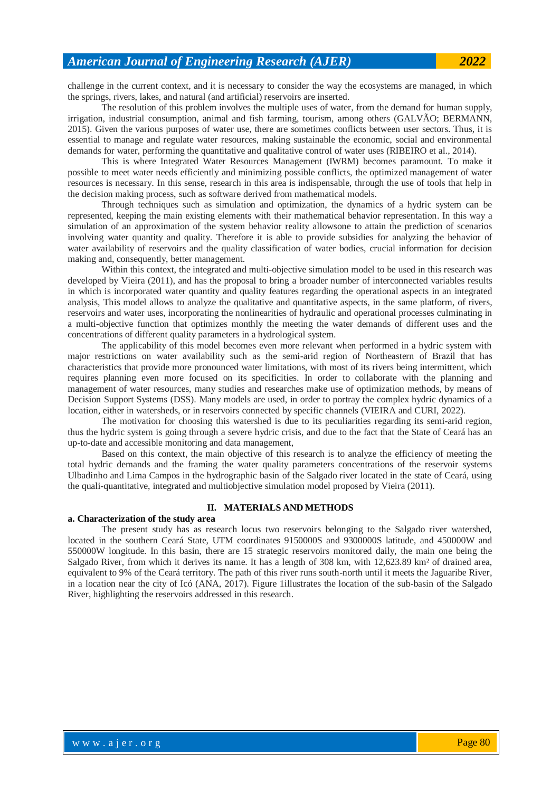challenge in the current context, and it is necessary to consider the way the ecosystems are managed, in which the springs, rivers, lakes, and natural (and artificial) reservoirs are inserted.

The resolution of this problem involves the multiple uses of water, from the demand for human supply, irrigation, industrial consumption, animal and fish farming, tourism, among others (GALVÃO; BERMANN, 2015). Given the various purposes of water use, there are sometimes conflicts between user sectors. Thus, it is essential to manage and regulate water resources, making sustainable the economic, social and environmental demands for water, performing the quantitative and qualitative control of water uses (RIBEIRO et al., 2014).

This is where Integrated Water Resources Management (IWRM) becomes paramount. To make it possible to meet water needs efficiently and minimizing possible conflicts, the optimized management of water resources is necessary. In this sense, research in this area is indispensable, through the use of tools that help in the decision making process, such as software derived from mathematical models.

Through techniques such as simulation and optimization, the dynamics of a hydric system can be represented, keeping the main existing elements with their mathematical behavior representation. In this way a simulation of an approximation of the system behavior reality allowsone to attain the prediction of scenarios involving water quantity and quality. Therefore it is able to provide subsidies for analyzing the behavior of water availability of reservoirs and the quality classification of water bodies, crucial information for decision making and, consequently, better management.

Within this context, the integrated and multi-objective simulation model to be used in this research was developed by Vieira (2011), and has the proposal to bring a broader number of interconnected variables results in which is incorporated water quantity and quality features regarding the operational aspects in an integrated analysis, This model allows to analyze the qualitative and quantitative aspects, in the same platform, of rivers, reservoirs and water uses, incorporating the nonlinearities of hydraulic and operational processes culminating in a multi-objective function that optimizes monthly the meeting the water demands of different uses and the concentrations of different quality parameters in a hydrological system.

The applicability of this model becomes even more relevant when performed in a hydric system with major restrictions on water availability such as the semi-arid region of Northeastern of Brazil that has characteristics that provide more pronounced water limitations, with most of its rivers being intermittent, which requires planning even more focused on its specificities. In order to collaborate with the planning and management of water resources, many studies and researches make use of optimization methods, by means of Decision Support Systems (DSS). Many models are used, in order to portray the complex hydric dynamics of a location, either in watersheds, or in reservoirs connected by specific channels (VIEIRA and CURI, 2022).

The motivation for choosing this watershed is due to its peculiarities regarding its semi-arid region, thus the hydric system is going through a severe hydric crisis, and due to the fact that the State of Ceará has an up-to-date and accessible monitoring and data management,

Based on this context, the main objective of this research is to analyze the efficiency of meeting the total hydric demands and the framing the water quality parameters concentrations of the reservoir systems Ulbadinho and Lima Campos in the hydrographic basin of the Salgado river located in the state of Ceará, using the quali-quantitative, integrated and multiobjective simulation model proposed by Vieira (2011).

#### **II. MATERIALS AND METHODS**

#### **a. Characterization of the study area**

The present study has as research locus two reservoirs belonging to the Salgado river watershed, located in the southern Ceará State, UTM coordinates 9150000S and 9300000S latitude, and 450000W and 550000W longitude. In this basin, there are 15 strategic reservoirs monitored daily, the main one being the Salgado River, from which it derives its name. It has a length of 308 km, with 12,623.89 km² of drained area, equivalent to 9% of the Ceará territory. The path of this river runs south-north until it meets the Jaguaribe River, in a location near the city of Icó (ANA, 2017). Figure 1illustrates the location of the sub-basin of the Salgado River, highlighting the reservoirs addressed in this research.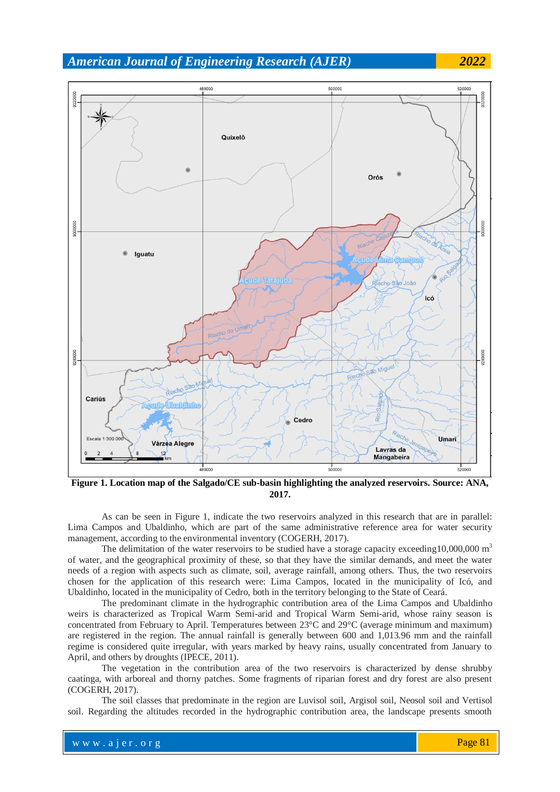

**Figure 1. Location map of the Salgado/CE sub-basin highlighting the analyzed reservoirs. Source: ANA, 2017.**

As can be seen in Figure 1, indicate the two reservoirs analyzed in this research that are in parallel: Lima Campos and Ubaldinho, which are part of the same administrative reference area for water security management, according to the environmental inventory (COGERH, 2017).

The delimitation of the water reservoirs to be studied have a storage capacity exceeding  $10,000,000$  m<sup>3</sup> of water, and the geographical proximity of these, so that they have the similar demands, and meet the water needs of a region with aspects such as climate, soil, average rainfall, among others. Thus, the two reservoirs chosen for the application of this research were: Lima Campos, located in the municipality of Icó, and Ubaldinho, located in the municipality of Cedro, both in the territory belonging to the State of Ceará.

The predominant climate in the hydrographic contribution area of the Lima Campos and Ubaldinho weirs is characterized as Tropical Warm Semi-arid and Tropical Warm Semi-arid, whose rainy season is concentrated from February to April. Temperatures between 23°C and 29°C (average minimum and maximum) are registered in the region. The annual rainfall is generally between 600 and 1,013.96 mm and the rainfall regime is considered quite irregular, with years marked by heavy rains, usually concentrated from January to April, and others by droughts (IPECE, 2011).

The vegetation in the contribution area of the two reservoirs is characterized by dense shrubby caatinga, with arboreal and thorny patches. Some fragments of riparian forest and dry forest are also present (COGERH, 2017).

The soil classes that predominate in the region are Luvisol soil, Argisol soil, Neosol soil and Vertisol soil. Regarding the altitudes recorded in the hydrographic contribution area, the landscape presents smooth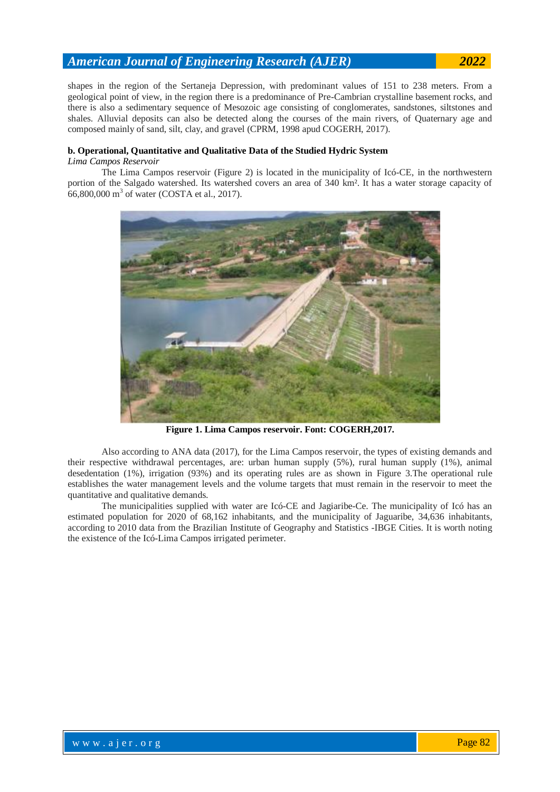shapes in the region of the Sertaneja Depression, with predominant values of 151 to 238 meters. From a geological point of view, in the region there is a predominance of Pre-Cambrian crystalline basement rocks, and there is also a sedimentary sequence of Mesozoic age consisting of conglomerates, sandstones, siltstones and shales. Alluvial deposits can also be detected along the courses of the main rivers, of Quaternary age and composed mainly of sand, silt, clay, and gravel (CPRM, 1998 apud COGERH, 2017).

#### **b. Operational, Quantitative and Qualitative Data of the Studied Hydric System**

#### *Lima Campos Reservoir*

The Lima Campos reservoir (Figure 2) is located in the municipality of Icó-CE, in the northwestern portion of the Salgado watershed. Its watershed covers an area of 340 km². It has a water storage capacity of 66,800,000 m<sup>3</sup> of water (COSTA et al., 2017).



**Figure 1. Lima Campos reservoir. Font: COGERH,2017.**

Also according to ANA data (2017), for the Lima Campos reservoir, the types of existing demands and their respective withdrawal percentages, are: urban human supply (5%), rural human supply (1%), animal desedentation (1%), irrigation (93%) and its operating rules are as shown in Figure 3.The operational rule establishes the water management levels and the volume targets that must remain in the reservoir to meet the quantitative and qualitative demands.

The municipalities supplied with water are Icó-CE and Jagiaribe-Ce. The municipality of Icó has an estimated population for 2020 of 68,162 inhabitants, and the municipality of Jaguaribe, 34,636 inhabitants, according to 2010 data from the Brazilian Institute of Geography and Statistics -IBGE Cities. It is worth noting the existence of the Icó-Lima Campos irrigated perimeter.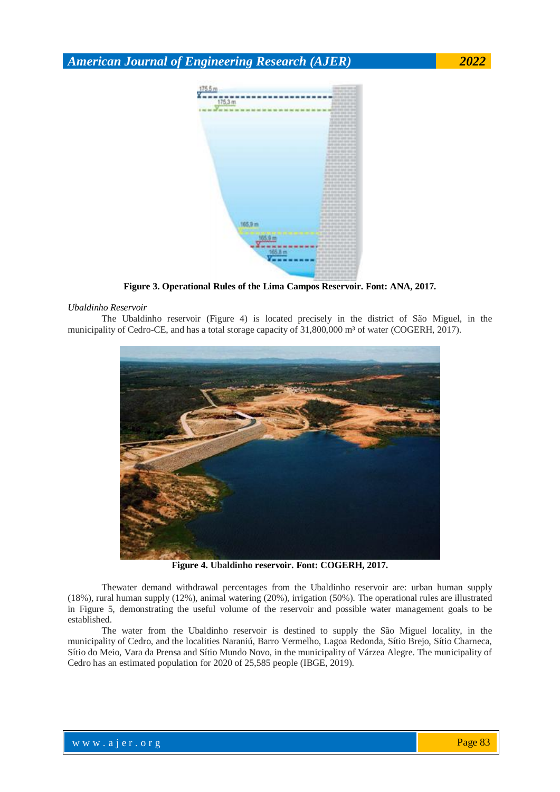

**Figure 3. Operational Rules of the Lima Campos Reservoir. Font: ANA, 2017.**

#### *Ubaldinho Reservoir*

The Ubaldinho reservoir (Figure 4) is located precisely in the district of São Miguel, in the municipality of Cedro-CE, and has a total storage capacity of 31,800,000 m<sup>3</sup> of water (COGERH, 2017).



**Figure 4. Ubaldinho reservoir. Font: COGERH, 2017.**

Thewater demand withdrawal percentages from the Ubaldinho reservoir are: urban human supply (18%), rural human supply (12%), animal watering (20%), irrigation (50%). The operational rules are illustrated in Figure 5, demonstrating the useful volume of the reservoir and possible water management goals to be established.

The water from the Ubaldinho reservoir is destined to supply the São Miguel locality, in the municipality of Cedro, and the localities Naraniú, Barro Vermelho, Lagoa Redonda, Sítio Brejo, Sítio Charneca, Sítio do Meio, Vara da Prensa and Sítio Mundo Novo, in the municipality of Várzea Alegre. The municipality of Cedro has an estimated population for 2020 of 25,585 people (IBGE, 2019).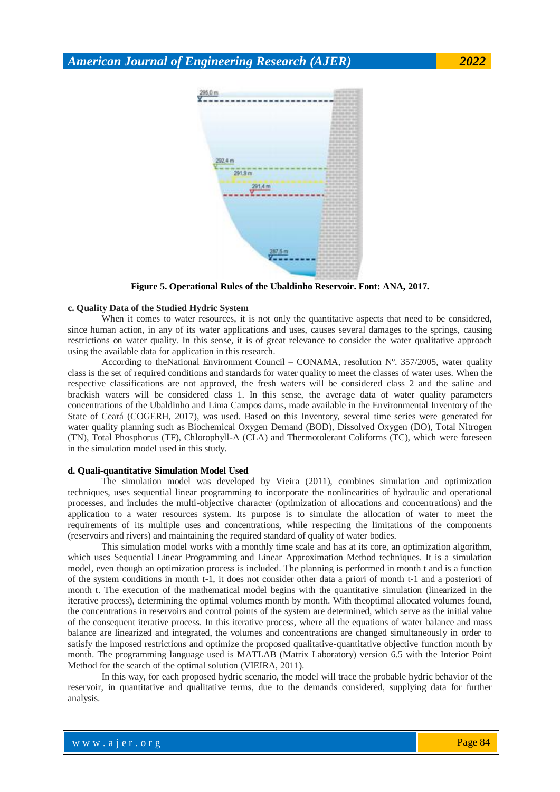$\frac{295.0 \text{ m}}{295.0 \text{ m}}$ 





**Figure 5. Operational Rules of the Ubaldinho Reservoir. Font: ANA, 2017.**

#### **c. Quality Data of the Studied Hydric System**

When it comes to water resources, it is not only the quantitative aspects that need to be considered, since human action, in any of its water applications and uses, causes several damages to the springs, causing restrictions on water quality. In this sense, it is of great relevance to consider the water qualitative approach using the available data for application in this research.

According to theNational Environment Council – CONAMA, resolution Nº. 357/2005, water quality class is the set of required conditions and standards for water quality to meet the classes of water uses. When the respective classifications are not approved, the fresh waters will be considered class 2 and the saline and brackish waters will be considered class 1. In this sense, the average data of water quality parameters concentrations of the Ubaldinho and Lima Campos dams, made available in the Environmental Inventory of the State of Ceará (COGERH, 2017), was used. Based on this Inventory, several time series were generated for water quality planning such as Biochemical Oxygen Demand (BOD), Dissolved Oxygen (DO), Total Nitrogen (TN), Total Phosphorus (TF), Chlorophyll-A (CLA) and Thermotolerant Coliforms (TC), which were foreseen in the simulation model used in this study.

#### **d. Quali-quantitative Simulation Model Used**

The simulation model was developed by Vieira (2011), combines simulation and optimization techniques, uses sequential linear programming to incorporate the nonlinearities of hydraulic and operational processes, and includes the multi-objective character (optimization of allocations and concentrations) and the application to a water resources system. Its purpose is to simulate the allocation of water to meet the requirements of its multiple uses and concentrations, while respecting the limitations of the components (reservoirs and rivers) and maintaining the required standard of quality of water bodies.

This simulation model works with a monthly time scale and has at its core, an optimization algorithm, which uses Sequential Linear Programming and Linear Approximation Method techniques. It is a simulation model, even though an optimization process is included. The planning is performed in month t and is a function of the system conditions in month t-1, it does not consider other data a priori of month t-1 and a posteriori of month t. The execution of the mathematical model begins with the quantitative simulation (linearized in the iterative process), determining the optimal volumes month by month. With theoptimal allocated volumes found, the concentrations in reservoirs and control points of the system are determined, which serve as the initial value of the consequent iterative process. In this iterative process, where all the equations of water balance and mass balance are linearized and integrated, the volumes and concentrations are changed simultaneously in order to satisfy the imposed restrictions and optimize the proposed qualitative-quantitative objective function month by month. The programming language used is MATLAB (Matrix Laboratory) version 6.5 with the Interior Point Method for the search of the optimal solution (VIEIRA, 2011).

In this way, for each proposed hydric scenario, the model will trace the probable hydric behavior of the reservoir, in quantitative and qualitative terms, due to the demands considered, supplying data for further analysis.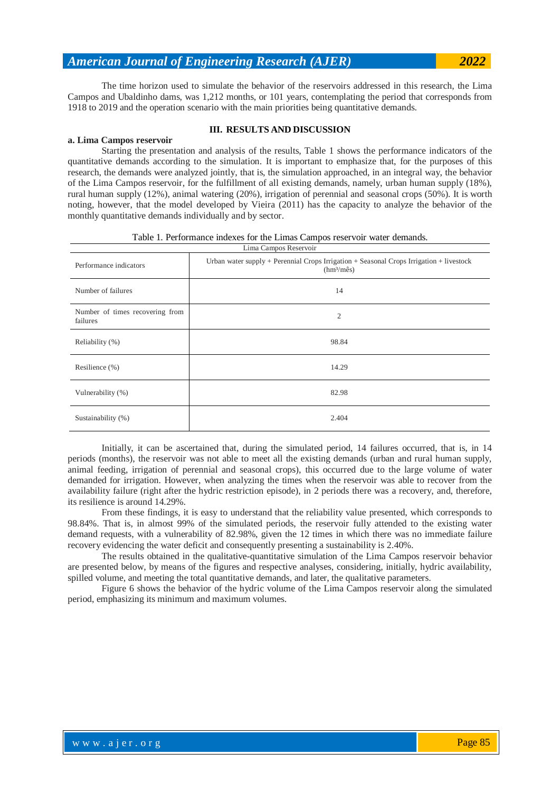monthly quantitative demands individually and by sector.

The time horizon used to simulate the behavior of the reservoirs addressed in this research, the Lima Campos and Ubaldinho dams, was 1,212 months, or 101 years, contemplating the period that corresponds from 1918 to 2019 and the operation scenario with the main priorities being quantitative demands.

**III. RESULTS AND DISCUSSION**

#### **a. Lima Campos reservoir**

Starting the presentation and analysis of the results, Table 1 shows the performance indicators of the quantitative demands according to the simulation. It is important to emphasize that, for the purposes of this research, the demands were analyzed jointly, that is, the simulation approached, in an integral way, the behavior of the Lima Campos reservoir, for the fulfillment of all existing demands, namely, urban human supply (18%), rural human supply (12%), animal watering (20%), irrigation of perennial and seasonal crops (50%). It is worth noting, however, that the model developed by Vieira (2011) has the capacity to analyze the behavior of the

| Performance indicators                      | Urban water supply + Perennial Crops Irrigation + Seasonal Crops Irrigation + livestock<br>(hm <sup>3</sup> /mês) |  |  |  |  |
|---------------------------------------------|-------------------------------------------------------------------------------------------------------------------|--|--|--|--|
| Number of failures                          | 14                                                                                                                |  |  |  |  |
| Number of times recovering from<br>failures | $\overline{2}$                                                                                                    |  |  |  |  |
| Reliability (%)                             | 98.84                                                                                                             |  |  |  |  |
| Resilience $(\% )$                          | 14.29                                                                                                             |  |  |  |  |
| Vulnerability (%)                           | 82.98                                                                                                             |  |  |  |  |
| Sustainability (%)                          | 2.404                                                                                                             |  |  |  |  |

Table 1. Performance indexes for the Limas Campos reservoir water demands.

Initially, it can be ascertained that, during the simulated period, 14 failures occurred, that is, in 14 periods (months), the reservoir was not able to meet all the existing demands (urban and rural human supply, animal feeding, irrigation of perennial and seasonal crops), this occurred due to the large volume of water demanded for irrigation. However, when analyzing the times when the reservoir was able to recover from the availability failure (right after the hydric restriction episode), in 2 periods there was a recovery, and, therefore, its resilience is around 14.29%.

From these findings, it is easy to understand that the reliability value presented, which corresponds to 98.84%. That is, in almost 99% of the simulated periods, the reservoir fully attended to the existing water demand requests, with a vulnerability of 82.98%, given the 12 times in which there was no immediate failure recovery evidencing the water deficit and consequently presenting a sustainability is 2.40%.

The results obtained in the qualitative-quantitative simulation of the Lima Campos reservoir behavior are presented below, by means of the figures and respective analyses, considering, initially, hydric availability, spilled volume, and meeting the total quantitative demands, and later, the qualitative parameters.

Figure 6 shows the behavior of the hydric volume of the Lima Campos reservoir along the simulated period, emphasizing its minimum and maximum volumes.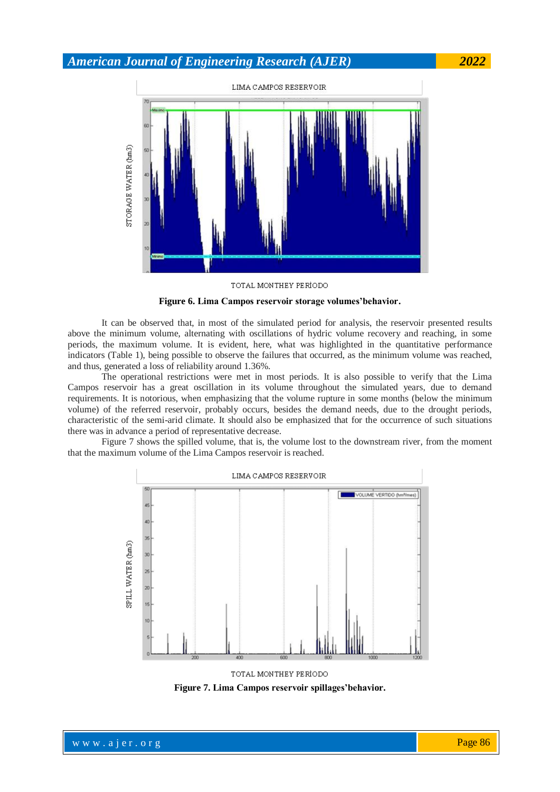

TOTAL MONTHEY PERIODO

**Figure 6. Lima Campos reservoir storage volumes'behavior.**

It can be observed that, in most of the simulated period for analysis, the reservoir presented results above the minimum volume, alternating with oscillations of hydric volume recovery and reaching, in some periods, the maximum volume. It is evident, here, what was highlighted in the quantitative performance indicators (Table 1), being possible to observe the failures that occurred, as the minimum volume was reached, and thus, generated a loss of reliability around 1.36%.

The operational restrictions were met in most periods. It is also possible to verify that the Lima Campos reservoir has a great oscillation in its volume throughout the simulated years, due to demand requirements. It is notorious, when emphasizing that the volume rupture in some months (below the minimum volume) of the referred reservoir, probably occurs, besides the demand needs, due to the drought periods, characteristic of the semi-arid climate. It should also be emphasized that for the occurrence of such situations there was in advance a period of representative decrease.

Figure 7 shows the spilled volume, that is, the volume lost to the downstream river, from the moment that the maximum volume of the Lima Campos reservoir is reached.



TOTAL MONTHEY PERIODO

**Figure 7. Lima Campos reservoir spillages'behavior.**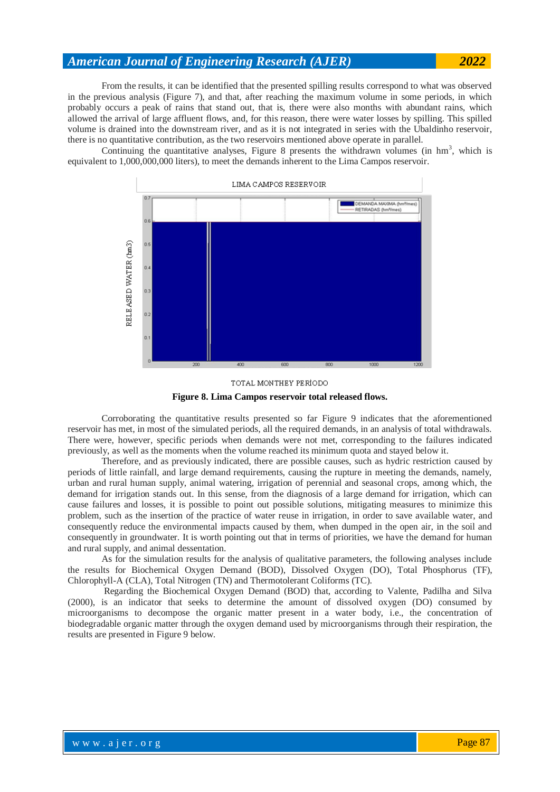From the results, it can be identified that the presented spilling results correspond to what was observed in the previous analysis (Figure 7), and that, after reaching the maximum volume in some periods, in which probably occurs a peak of rains that stand out, that is, there were also months with abundant rains, which allowed the arrival of large affluent flows, and, for this reason, there were water losses by spilling. This spilled volume is drained into the downstream river, and as it is not integrated in series with the Ubaldinho reservoir, there is no quantitative contribution, as the two reservoirs mentioned above operate in parallel.

Continuing the quantitative analyses, Figure 8 presents the withdrawn volumes (in  $\text{hm}^3$ , which is equivalent to 1,000,000,000 liters), to meet the demands inherent to the Lima Campos reservoir.

![](_page_8_Figure_3.jpeg)

![](_page_8_Figure_4.jpeg)

Corroborating the quantitative results presented so far Figure 9 indicates that the aforementioned reservoir has met, in most of the simulated periods, all the required demands, in an analysis of total withdrawals. There were, however, specific periods when demands were not met, corresponding to the failures indicated previously, as well as the moments when the volume reached its minimum quota and stayed below it.

Therefore, and as previously indicated, there are possible causes, such as hydric restriction caused by periods of little rainfall, and large demand requirements, causing the rupture in meeting the demands, namely, urban and rural human supply, animal watering, irrigation of perennial and seasonal crops, among which, the demand for irrigation stands out. In this sense, from the diagnosis of a large demand for irrigation, which can cause failures and losses, it is possible to point out possible solutions, mitigating measures to minimize this problem, such as the insertion of the practice of water reuse in irrigation, in order to save available water, and consequently reduce the environmental impacts caused by them, when dumped in the open air, in the soil and consequently in groundwater. It is worth pointing out that in terms of priorities, we have the demand for human and rural supply, and animal dessentation.

As for the simulation results for the analysis of qualitative parameters, the following analyses include the results for Biochemical Oxygen Demand (BOD), Dissolved Oxygen (DO), Total Phosphorus (TF), Chlorophyll-A (CLA), Total Nitrogen (TN) and Thermotolerant Coliforms (TC).

Regarding the Biochemical Oxygen Demand (BOD) that, according to Valente, Padilha and Silva (2000), is an indicator that seeks to determine the amount of dissolved oxygen (DO) consumed by microorganisms to decompose the organic matter present in a water body, i.e., the concentration of biodegradable organic matter through the oxygen demand used by microorganisms through their respiration, the results are presented in Figure 9 below.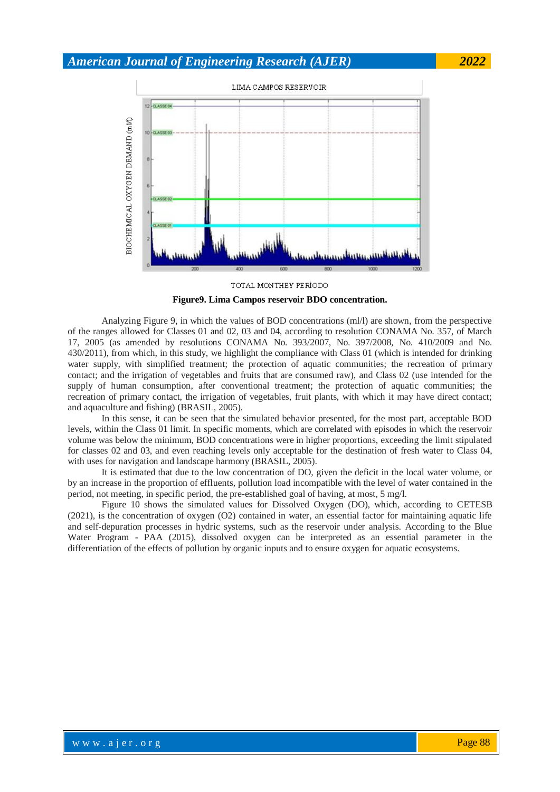![](_page_9_Figure_1.jpeg)

TOTAL MONTHEY PERIODO **Figure9. Lima Campos reservoir BDO concentration.**

Analyzing Figure 9, in which the values of BOD concentrations (ml/l) are shown, from the perspective of the ranges allowed for Classes 01 and 02, 03 and 04, according to resolution CONAMA No. 357, of March 17, 2005 (as amended by resolutions CONAMA No. 393/2007, No. 397/2008, No. 410/2009 and No. 430/2011), from which, in this study, we highlight the compliance with Class 01 (which is intended for drinking water supply, with simplified treatment; the protection of aquatic communities; the recreation of primary contact; and the irrigation of vegetables and fruits that are consumed raw), and Class 02 (use intended for the supply of human consumption, after conventional treatment; the protection of aquatic communities; the recreation of primary contact, the irrigation of vegetables, fruit plants, with which it may have direct contact; and aquaculture and fishing) (BRASIL, 2005).

In this sense, it can be seen that the simulated behavior presented, for the most part, acceptable BOD levels, within the Class 01 limit. In specific moments, which are correlated with episodes in which the reservoir volume was below the minimum, BOD concentrations were in higher proportions, exceeding the limit stipulated for classes 02 and 03, and even reaching levels only acceptable for the destination of fresh water to Class 04, with uses for navigation and landscape harmony (BRASIL, 2005).

It is estimated that due to the low concentration of DO, given the deficit in the local water volume, or by an increase in the proportion of effluents, pollution load incompatible with the level of water contained in the period, not meeting, in specific period, the pre-established goal of having, at most, 5 mg/l.

Figure 10 shows the simulated values for Dissolved Oxygen (DO), which, according to CETESB (2021), is the concentration of oxygen (O2) contained in water, an essential factor for maintaining aquatic life and self-depuration processes in hydric systems, such as the reservoir under analysis. According to the Blue Water Program - PAA (2015), dissolved oxygen can be interpreted as an essential parameter in the differentiation of the effects of pollution by organic inputs and to ensure oxygen for aquatic ecosystems.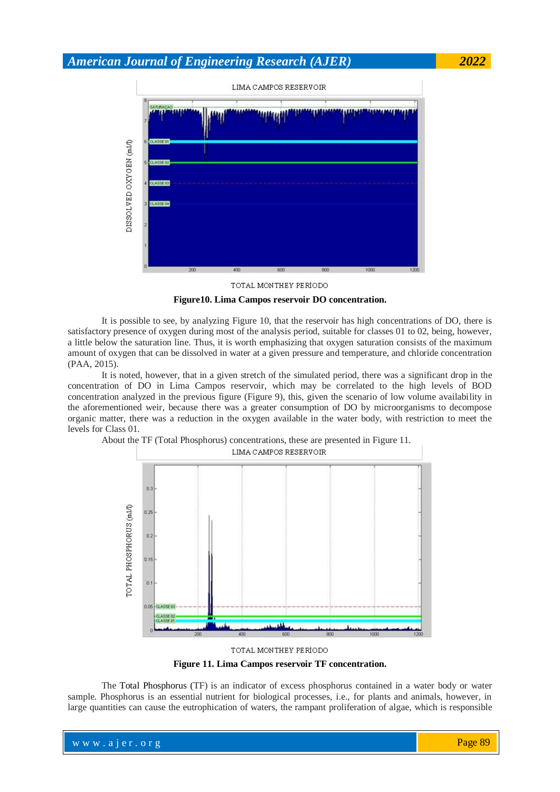![](_page_10_Figure_1.jpeg)

TOTAL MONTHEY PERIODO

**Figure10. Lima Campos reservoir DO concentration.**

It is possible to see, by analyzing Figure 10, that the reservoir has high concentrations of DO, there is satisfactory presence of oxygen during most of the analysis period, suitable for classes 01 to 02, being, however, a little below the saturation line. Thus, it is worth emphasizing that oxygen saturation consists of the maximum amount of oxygen that can be dissolved in water at a given pressure and temperature, and chloride concentration (PAA, 2015).

It is noted, however, that in a given stretch of the simulated period, there was a significant drop in the concentration of DO in Lima Campos reservoir, which may be correlated to the high levels of BOD concentration analyzed in the previous figure (Figure 9), this, given the scenario of low volume availability in the aforementioned weir, because there was a greater consumption of DO by microorganisms to decompose organic matter, there was a reduction in the oxygen available in the water body, with restriction to meet the levels for Class 01.

![](_page_10_Figure_6.jpeg)

![](_page_10_Figure_7.jpeg)

**Figure 11. Lima Campos reservoir TF concentration.**

The Total Phosphorus (TF) is an indicator of excess phosphorus contained in a water body or water sample. Phosphorus is an essential nutrient for biological processes, i.e., for plants and animals, however, in large quantities can cause the eutrophication of waters, the rampant proliferation of algae, which is responsible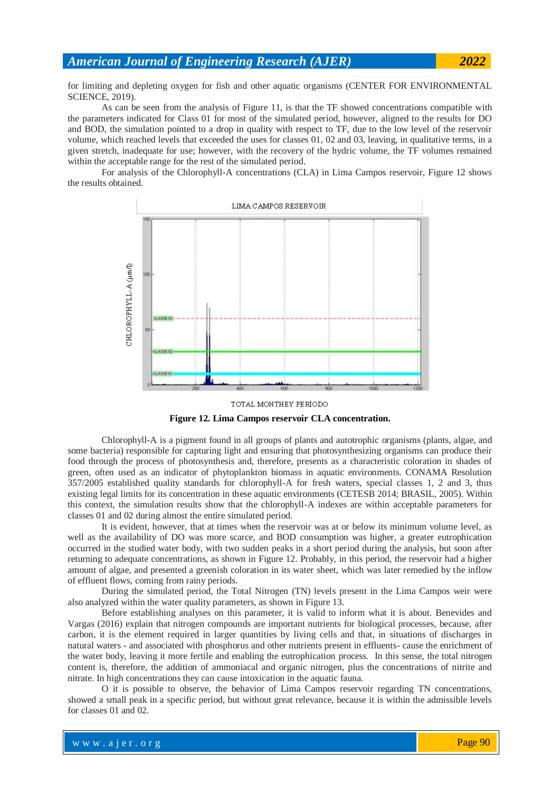for limiting and depleting oxygen for fish and other aquatic organisms (CENTER FOR ENVIRONMENTAL SCIENCE, 2019).

As can be seen from the analysis of Figure 11, is that the TF showed concentrations compatible with the parameters indicated for Class 01 for most of the simulated period, however, aligned to the results for DO and BOD, the simulation pointed to a drop in quality with respect to TF, due to the low level of the reservoir volume, which reached levels that exceeded the uses for classes 01, 02 and 03, leaving, in qualitative terms, in a given stretch, inadequate for use; however, with the recovery of the hydric volume, the TF volumes remained within the acceptable range for the rest of the simulated period.

For analysis of the Chlorophyll-A concentrations (CLA) in Lima Campos reservoir, Figure 12 shows the results obtained.

![](_page_11_Figure_4.jpeg)

![](_page_11_Figure_5.jpeg)

**Figure 12. Lima Campos reservoir CLA concentration.**

Chlorophyll-A is a pigment found in all groups of plants and autotrophic organisms (plants, algae, and some bacteria) responsible for capturing light and ensuring that photosynthesizing organisms can produce their food through the process of photosynthesis and, therefore, presents as a characteristic coloration in shades of green, often used as an indicator of phytoplankton biomass in aquatic environments. CONAMA Resolution 357/2005 established quality standards for chlorophyll-A for fresh waters, special classes 1, 2 and 3, thus existing legal limits for its concentration in these aquatic environments (CETESB 2014; BRASIL, 2005). Within this context, the simulation results show that the chlorophyll-A indexes are within acceptable parameters for classes 01 and 02 during almost the entire simulated period.

It is evident, however, that at times when the reservoir was at or below its minimum volume level, as well as the availability of DO was more scarce, and BOD consumption was higher, a greater eutrophication occurred in the studied water body, with two sudden peaks in a short period during the analysis, but soon after returning to adequate concentrations, as shown in Figure 12. Probably, in this period, the reservoir had a higher amount of algae, and presented a greenish coloration in its water sheet, which was later remedied by the inflow of effluent flows, coming from rainy periods.

During the simulated period, the Total Nitrogen (TN) levels present in the Lima Campos weir were also analyzed within the water quality parameters, as shown in Figure 13.

Before establishing analyses on this parameter, it is valid to inform what it is about. Benevides and Vargas (2016) explain that nitrogen compounds are important nutrients for biological processes, because, after carbon, it is the element required in larger quantities by living cells and that, in situations of discharges in natural waters - and associated with phosphorus and other nutrients present in effluents- cause the enrichment of the water body, leaving it more fertile and enabling the eutrophication process. In this sense, the total nitrogen content is, therefore, the addition of ammoniacal and organic nitrogen, plus the concentrations of nitrite and nitrate. In high concentrations they can cause intoxication in the aquatic fauna.

O it is possible to observe, the behavior of Lima Campos reservoir regarding TN concentrations, showed a small peak in a specific period, but without great relevance, because it is within the admissible levels for classes 01 and 02.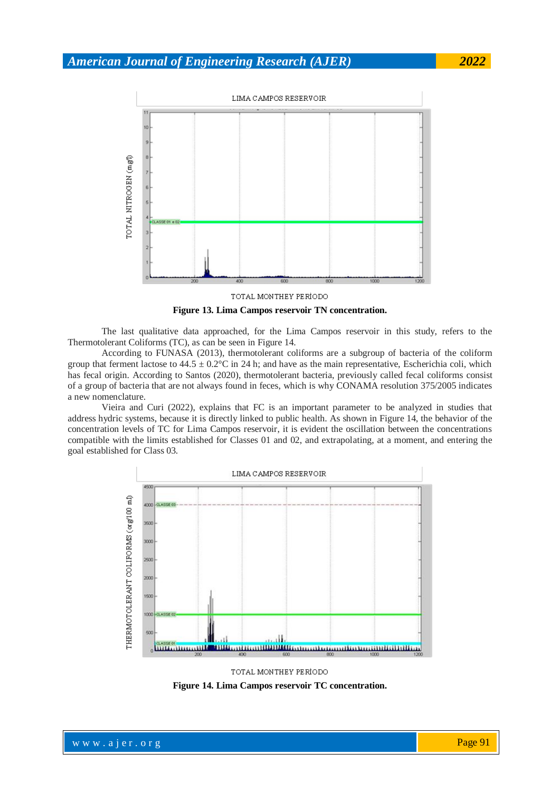![](_page_12_Figure_1.jpeg)

**Figure 13. Lima Campos reservoir TN concentration.**

The last qualitative data approached, for the Lima Campos reservoir in this study, refers to the Thermotolerant Coliforms (TC), as can be seen in Figure 14.

According to FUNASA (2013), thermotolerant coliforms are a subgroup of bacteria of the coliform group that ferment lactose to  $44.5 \pm 0.2$ °C in 24 h; and have as the main representative, Escherichia coli, which has fecal origin. According to Santos (2020), thermotolerant bacteria, previously called fecal coliforms consist of a group of bacteria that are not always found in feces, which is why CONAMA resolution 375/2005 indicates a new nomenclature.

Vieira and Curi (2022), explains that FC is an important parameter to be analyzed in studies that address hydric systems, because it is directly linked to public health. As shown in Figure 14, the behavior of the concentration levels of TC for Lima Campos reservoir, it is evident the oscillation between the concentrations compatible with the limits established for Classes 01 and 02, and extrapolating, at a moment, and entering the goal established for Class 03.

![](_page_12_Figure_7.jpeg)

TOTAL MONTHEY PERIODO

**Figure 14. Lima Campos reservoir TC concentration.**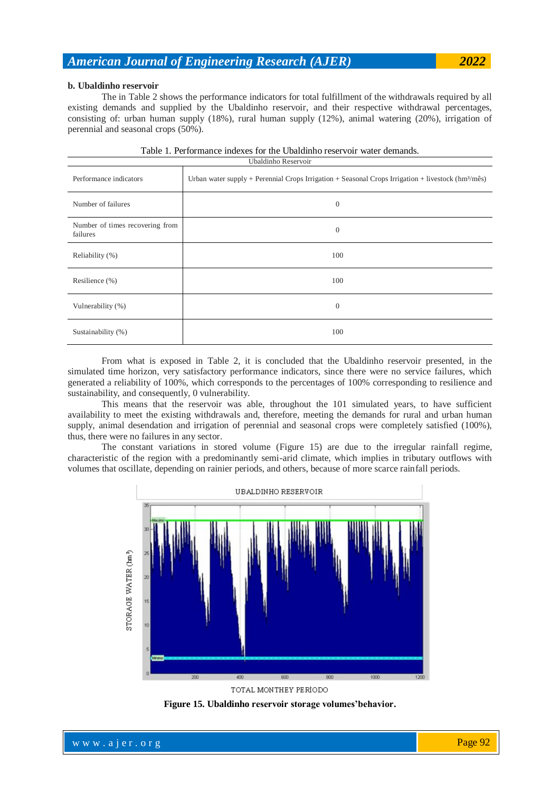#### **b. Ubaldinho reservoir**

The in Table 2 shows the performance indicators for total fulfillment of the withdrawals required by all existing demands and supplied by the Ubaldinho reservoir, and their respective withdrawal percentages, consisting of: urban human supply (18%), rural human supply (12%), animal watering (20%), irrigation of perennial and seasonal crops (50%).

| Ubaldinho Reservoir                         |                                                                                                            |  |  |  |  |  |  |
|---------------------------------------------|------------------------------------------------------------------------------------------------------------|--|--|--|--|--|--|
| Performance indicators                      | Urban water supply + Perennial Crops Irrigation + Seasonal Crops Irrigation + livestock $(hm^3/m\hat{e}s)$ |  |  |  |  |  |  |
| Number of failures                          | $\mathbf{0}$                                                                                               |  |  |  |  |  |  |
| Number of times recovering from<br>failures | $\theta$                                                                                                   |  |  |  |  |  |  |
| Reliability (%)                             | 100                                                                                                        |  |  |  |  |  |  |
| Resilience (%)                              | 100                                                                                                        |  |  |  |  |  |  |
| Vulnerability (%)                           | $\theta$                                                                                                   |  |  |  |  |  |  |
| Sustainability (%)                          | 100                                                                                                        |  |  |  |  |  |  |

|  | Table 1. Performance indexes for the Ubaldinho reservoir water demands. |  |  |  |  |  |  |
|--|-------------------------------------------------------------------------|--|--|--|--|--|--|
|--|-------------------------------------------------------------------------|--|--|--|--|--|--|

From what is exposed in Table 2, it is concluded that the Ubaldinho reservoir presented, in the simulated time horizon, very satisfactory performance indicators, since there were no service failures, which generated a reliability of 100%, which corresponds to the percentages of 100% corresponding to resilience and sustainability, and consequently, 0 vulnerability.

This means that the reservoir was able, throughout the 101 simulated years, to have sufficient availability to meet the existing withdrawals and, therefore, meeting the demands for rural and urban human supply, animal desendation and irrigation of perennial and seasonal crops were completely satisfied (100%), thus, there were no failures in any sector.

The constant variations in stored volume (Figure 15) are due to the irregular rainfall regime, characteristic of the region with a predominantly semi-arid climate, which implies in tributary outflows with volumes that oscillate, depending on rainier periods, and others, because of more scarce rainfall periods.

![](_page_13_Figure_8.jpeg)

**Figure 15. Ubaldinho reservoir storage volumes'behavior.**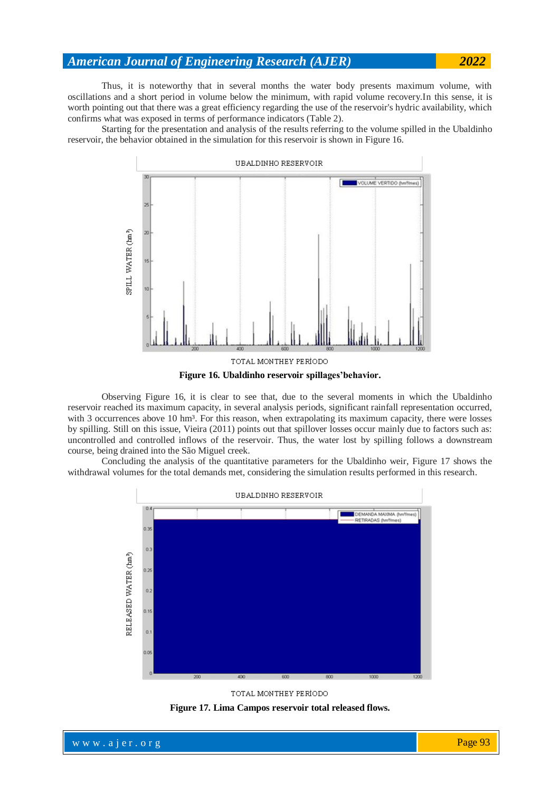Thus, it is noteworthy that in several months the water body presents maximum volume, with oscillations and a short period in volume below the minimum, with rapid volume recovery.In this sense, it is worth pointing out that there was a great efficiency regarding the use of the reservoir's hydric availability, which confirms what was exposed in terms of performance indicators (Table 2).

Starting for the presentation and analysis of the results referring to the volume spilled in the Ubaldinho reservoir, the behavior obtained in the simulation for this reservoir is shown in Figure 16.

![](_page_14_Figure_3.jpeg)

![](_page_14_Figure_4.jpeg)

Observing Figure 16, it is clear to see that, due to the several moments in which the Ubaldinho reservoir reached its maximum capacity, in several analysis periods, significant rainfall representation occurred, with 3 occurrences above 10 hm<sup>3</sup>. For this reason, when extrapolating its maximum capacity, there were losses by spilling. Still on this issue, Vieira (2011) points out that spillover losses occur mainly due to factors such as: uncontrolled and controlled inflows of the reservoir. Thus, the water lost by spilling follows a downstream course, being drained into the São Miguel creek.

Concluding the analysis of the quantitative parameters for the Ubaldinho weir, Figure 17 shows the withdrawal volumes for the total demands met, considering the simulation results performed in this research.

![](_page_14_Figure_7.jpeg)

![](_page_14_Figure_8.jpeg)

![](_page_14_Figure_9.jpeg)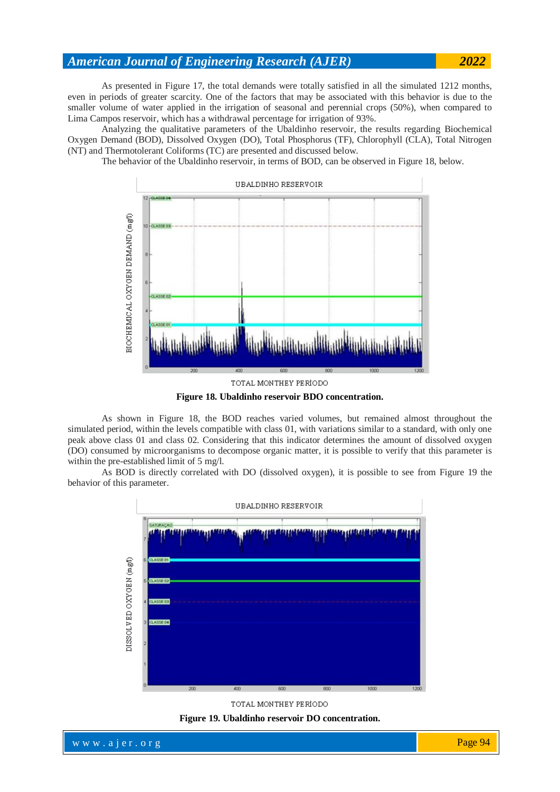As presented in Figure 17, the total demands were totally satisfied in all the simulated 1212 months, even in periods of greater scarcity. One of the factors that may be associated with this behavior is due to the smaller volume of water applied in the irrigation of seasonal and perennial crops (50%), when compared to Lima Campos reservoir, which has a withdrawal percentage for irrigation of 93%.

Analyzing the qualitative parameters of the Ubaldinho reservoir, the results regarding Biochemical Oxygen Demand (BOD), Dissolved Oxygen (DO), Total Phosphorus (TF), Chlorophyll (CLA), Total Nitrogen (NT) and Thermotolerant Coliforms (TC) are presented and discussed below.

The behavior of the Ubaldinho reservoir, in terms of BOD, can be observed in Figure 18, below.

![](_page_15_Figure_4.jpeg)

**Figure 18. Ubaldinho reservoir BDO concentration.**

As shown in Figure 18, the BOD reaches varied volumes, but remained almost throughout the simulated period, within the levels compatible with class 01, with variations similar to a standard, with only one peak above class 01 and class 02. Considering that this indicator determines the amount of dissolved oxygen (DO) consumed by microorganisms to decompose organic matter, it is possible to verify that this parameter is within the pre-established limit of 5 mg/l.

As BOD is directly correlated with DO (dissolved oxygen), it is possible to see from Figure 19 the behavior of this parameter.

![](_page_15_Figure_8.jpeg)

![](_page_15_Figure_9.jpeg)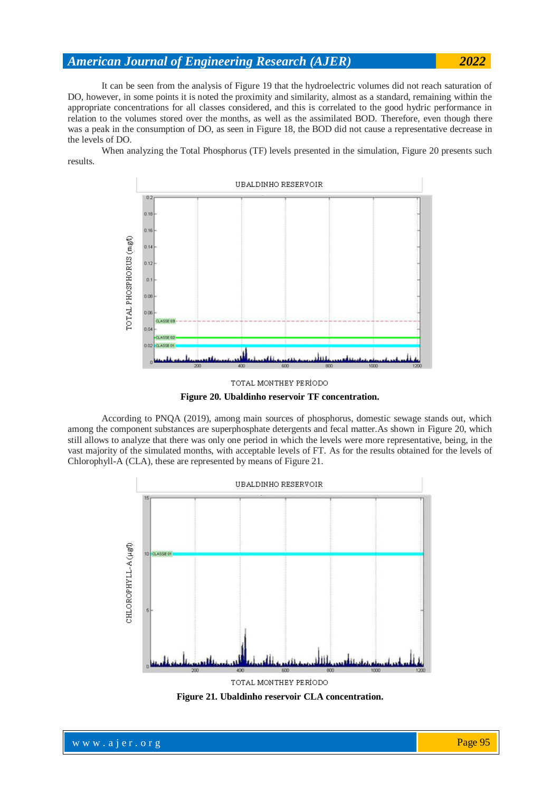It can be seen from the analysis of Figure 19 that the hydroelectric volumes did not reach saturation of DO, however, in some points it is noted the proximity and similarity, almost as a standard, remaining within the appropriate concentrations for all classes considered, and this is correlated to the good hydric performance in relation to the volumes stored over the months, as well as the assimilated BOD. Therefore, even though there was a peak in the consumption of DO, as seen in Figure 18, the BOD did not cause a representative decrease in the levels of DO.

When analyzing the Total Phosphorus (TF) levels presented in the simulation, Figure 20 presents such results.

![](_page_16_Figure_3.jpeg)

![](_page_16_Figure_4.jpeg)

According to PNQA (2019), among main sources of phosphorus, domestic sewage stands out, which among the component substances are superphosphate detergents and fecal matter.As shown in Figure 20, which still allows to analyze that there was only one period in which the levels were more representative, being, in the vast majority of the simulated months, with acceptable levels of FT. As for the results obtained for the levels of Chlorophyll-A (CLA), these are represented by means of Figure 21.

![](_page_16_Figure_6.jpeg)

**Figure 21. Ubaldinho reservoir CLA concentration.**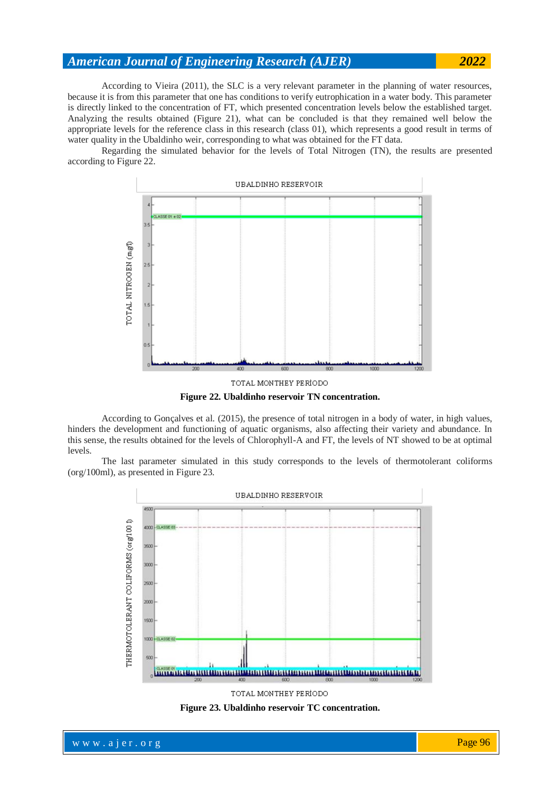According to Vieira (2011), the SLC is a very relevant parameter in the planning of water resources, because it is from this parameter that one has conditions to verify eutrophication in a water body. This parameter is directly linked to the concentration of FT, which presented concentration levels below the established target. Analyzing the results obtained (Figure 21), what can be concluded is that they remained well below the appropriate levels for the reference class in this research (class 01), which represents a good result in terms of water quality in the Ubaldinho weir, corresponding to what was obtained for the FT data.

Regarding the simulated behavior for the levels of Total Nitrogen (TN), the results are presented according to Figure 22.

![](_page_17_Figure_3.jpeg)

**Figure 22. Ubaldinho reservoir TN concentration.**

According to Gonçalves et al. (2015), the presence of total nitrogen in a body of water, in high values, hinders the development and functioning of aquatic organisms, also affecting their variety and abundance. In this sense, the results obtained for the levels of Chlorophyll-A and FT, the levels of NT showed to be at optimal levels.

The last parameter simulated in this study corresponds to the levels of thermotolerant coliforms (org/100ml), as presented in Figure 23.

![](_page_17_Figure_7.jpeg)

**Figure 23. Ubaldinho reservoir TC concentration.**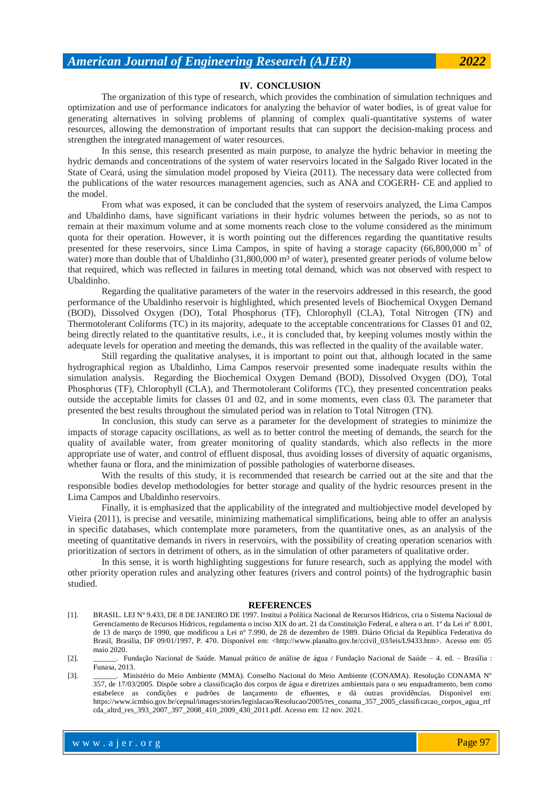#### **IV. CONCLUSION**

The organization of this type of research, which provides the combination of simulation techniques and optimization and use of performance indicators for analyzing the behavior of water bodies, is of great value for generating alternatives in solving problems of planning of complex quali-quantitative systems of water resources, allowing the demonstration of important results that can support the decision-making process and strengthen the integrated management of water resources.

In this sense, this research presented as main purpose, to analyze the hydric behavior in meeting the hydric demands and concentrations of the system of water reservoirs located in the Salgado River located in the State of Ceará, using the simulation model proposed by Vieira (2011). The necessary data were collected from the publications of the water resources management agencies, such as ANA and COGERH- CE and applied to the model.

From what was exposed, it can be concluded that the system of reservoirs analyzed, the Lima Campos and Ubaldinho dams, have significant variations in their hydric volumes between the periods, so as not to remain at their maximum volume and at some moments reach close to the volume considered as the minimum quota for their operation. However, it is worth pointing out the differences regarding the quantitative results presented for these reservoirs, since Lima Campos, in spite of having a storage capacity (66,800,000 m<sup>3</sup> of water) more than double that of Ubaldinho  $(31,800,000 \text{ m}^3)$  of water), presented greater periods of volume below that required, which was reflected in failures in meeting total demand, which was not observed with respect to Ubaldinho.

Regarding the qualitative parameters of the water in the reservoirs addressed in this research, the good performance of the Ubaldinho reservoir is highlighted, which presented levels of Biochemical Oxygen Demand (BOD), Dissolved Oxygen (DO), Total Phosphorus (TF), Chlorophyll (CLA), Total Nitrogen (TN) and Thermotolerant Coliforms (TC) in its majority, adequate to the acceptable concentrations for Classes 01 and 02, being directly related to the quantitative results, i.e., it is concluded that, by keeping volumes mostly within the adequate levels for operation and meeting the demands, this was reflected in the quality of the available water.

Still regarding the qualitative analyses, it is important to point out that, although located in the same hydrographical region as Ubaldinho, Lima Campos reservoir presented some inadequate results within the simulation analysis. Regarding the Biochemical Oxygen Demand (BOD), Dissolved Oxygen (DO), Total Phosphorus (TF), Chlorophyll (CLA), and Thermotolerant Coliforms (TC), they presented concentration peaks outside the acceptable limits for classes 01 and 02, and in some moments, even class 03. The parameter that presented the best results throughout the simulated period was in relation to Total Nitrogen (TN).

In conclusion, this study can serve as a parameter for the development of strategies to minimize the impacts of storage capacity oscillations, as well as to better control the meeting of demands, the search for the quality of available water, from greater monitoring of quality standards, which also reflects in the more appropriate use of water, and control of effluent disposal, thus avoiding losses of diversity of aquatic organisms, whether fauna or flora, and the minimization of possible pathologies of waterborne diseases.

With the results of this study, it is recommended that research be carried out at the site and that the responsible bodies develop methodologies for better storage and quality of the hydric resources present in the Lima Campos and Ubaldinho reservoirs.

Finally, it is emphasized that the applicability of the integrated and multiobjective model developed by Vieira (2011), is precise and versatile, minimizing mathematical simplifications, being able to offer an analysis in specific databases, which contemplate more parameters, from the quantitative ones, as an analysis of the meeting of quantitative demands in rivers in reservoirs, with the possibility of creating operation scenarios with prioritization of sectors in detriment of others, as in the simulation of other parameters of qualitative order.

In this sense, it is worth highlighting suggestions for future research, such as applying the model with other priority operation rules and analyzing other features (rivers and control points) of the hydrographic basin studied.

#### **REFERENCES**

- [1]. BRASIL. LEI Nº 9.433, DE 8 DE JANEIRO DE 1997. Institui a Política Nacional de Recursos Hídricos, cria o Sistema Nacional de Gerenciamento de Recursos Hídricos, regulamenta o inciso XIX do art. 21 da Constituição Federal, e altera o art. 1º da Lei nº 8.001, de 13 de março de 1990, que modificou a Lei nº 7.990, de 28 de dezembro de 1989. Diário Oficial da República Federativa do Brasil, Brasília, DF 09/01/1997, P. 470. Disponível em: <http://www.planalto.gov.br/ccivil\_03/leis/L9433.htm>. Acesso em: 05 maio 2020.
- [2]. \_\_\_\_\_\_. Fundação Nacional de Saúde. Manual prático de análise de água / Fundação Nacional de Saúde 4. ed. Brasília : Funasa, 2013.
- [3]. \_\_\_\_\_\_. Ministério do Meio Ambiente (MMA). Conselho Nacional do Meio Ambiente (CONAMA). Resolução CONAMA Nº 357, de 17/03/2005. Dispõe sobre a classificação dos corpos de água e diretrizes ambientais para o seu enquadramento, bem como estabelece as condições e padrões de lançamento de efluentes, e dá outras providências. Disponível em: https://www.icmbio.gov.br/cepsul/images/stories/legislacao/Resolucao/2005/res\_conama\_357\_2005\_classificacao\_corpos\_agua\_rtf cda\_altrd\_res\_393\_2007\_397\_2008\_410\_2009\_430\_2011.pdf. Acesso em: 12 nov. 2021.